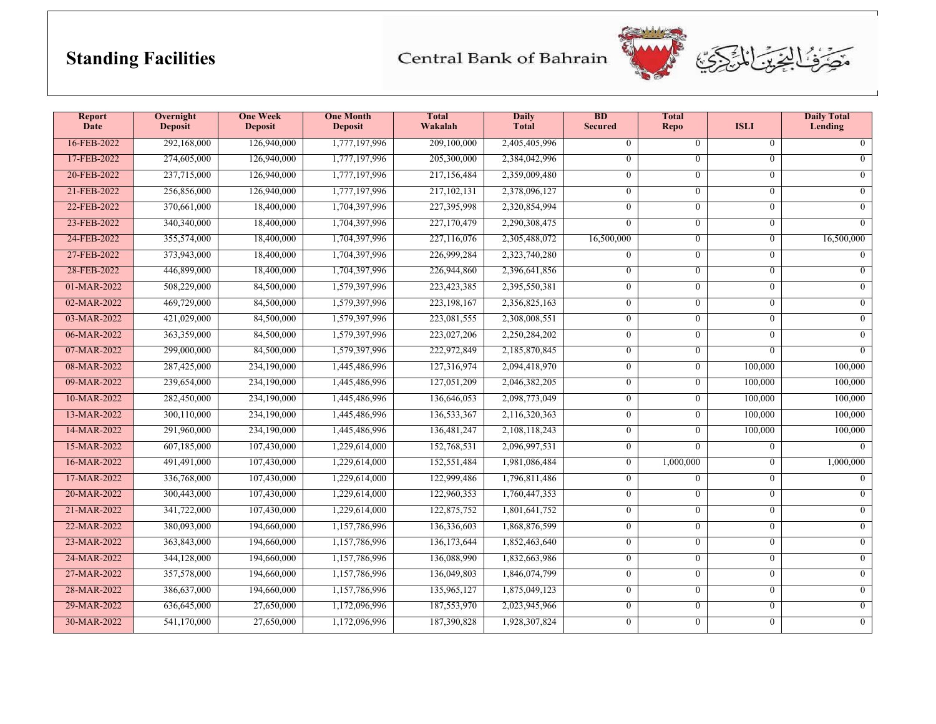## **Standing Facilities**

Central Bank of Bahrain



| <b>Report</b><br><b>Date</b> | Overnight<br>Deposit | <b>One Week</b><br><b>Deposit</b> | <b>One Month</b><br><b>Deposit</b> | <b>Total</b><br>Wakalah | <b>Daily</b><br><b>Total</b> | $\overline{BD}$<br><b>Secured</b> | <b>Total</b><br><b>Repo</b> | <b>ISLI</b>    | <b>Daily Total</b><br>Lending |
|------------------------------|----------------------|-----------------------------------|------------------------------------|-------------------------|------------------------------|-----------------------------------|-----------------------------|----------------|-------------------------------|
| 16-FEB-2022                  | 292,168,000          | 126,940,000                       | 1,777,197,996                      | 209,100,000             | 2,405,405,996                | $\overline{0}$                    | $\overline{0}$              | $\mathbf{0}$   | $\overline{0}$                |
| 17-FEB-2022                  | 274,605,000          | 126,940,000                       | 1,777,197,996                      | 205,300,000             | 2,384,042,996                | $\theta$                          | $\theta$                    | $\theta$       | $\overline{0}$                |
| 20-FEB-2022                  | 237,715,000          | 126,940,000                       | 1,777,197,996                      | 217,156,484             | 2,359,009,480                | $\overline{0}$                    | $\overline{0}$              | $\mathbf{0}$   | $\overline{0}$                |
| 21-FEB-2022                  | 256,856,000          | 126,940,000                       | 1,777,197,996                      | 217, 102, 131           | 2,378,096,127                | $\theta$                          | $\theta$                    | $\theta$       | $\Omega$                      |
| 22-FEB-2022                  | 370,661,000          | 18,400,000                        | 1,704,397,996                      | 227,395,998             | 2,320,854,994                | $\overline{0}$                    | $\overline{0}$              | $\overline{0}$ | $\overline{0}$                |
| 23-FEB-2022                  | 340,340,000          | 18,400,000                        | 1,704,397,996                      | 227,170,479             | 2,290,308,475                | $\overline{0}$                    | $\overline{0}$              | $\mathbf{0}$   | $\overline{0}$                |
| 24-FEB-2022                  | 355,574,000          | 18,400,000                        | 1,704,397,996                      | 227,116,076             | 2,305,488,072                | 16,500,000                        | $\overline{0}$              | $\overline{0}$ | 16,500,000                    |
| 27-FEB-2022                  | 373,943,000          | 18,400,000                        | 1,704,397,996                      | 226,999,284             | 2,323,740,280                | $\overline{0}$                    | $\overline{0}$              | $\overline{0}$ | $\overline{0}$                |
| 28-FEB-2022                  | 446,899,000          | 18,400,000                        | 1,704,397,996                      | 226,944,860             | 2,396,641,856                | $\overline{0}$                    | $\Omega$                    | $\mathbf{0}$   | $\overline{0}$                |
| 01-MAR-2022                  | 508,229,000          | 84,500,000                        | 1,579,397,996                      | 223,423,385             | 2,395,550,381                | $\overline{0}$                    | $\overline{0}$              | $\mathbf{0}$   | $\overline{0}$                |
| 02-MAR-2022                  | 469,729,000          | 84,500,000                        | 1,579,397,996                      | 223, 198, 167           | 2,356,825,163                | $\overline{0}$                    | $\overline{0}$              | $\mathbf{0}$   | $\overline{0}$                |
| 03-MAR-2022                  | 421,029,000          | 84,500,000                        | 1,579,397,996                      | 223,081,555             | 2,308,008,551                | $\overline{0}$                    | $\theta$                    | $\overline{0}$ | $\overline{0}$                |
| 06-MAR-2022                  | 363,359,000          | 84,500,000                        | 1,579,397,996                      | 223,027,206             | 2,250,284,202                | $\overline{0}$                    | $\overline{0}$              | $\mathbf{0}$   | $\overline{0}$                |
| 07-MAR-2022                  | 299,000,000          | 84,500,000                        | 1,579,397,996                      | 222,972,849             | 2,185,870,845                | $\overline{0}$                    | $\theta$                    | $\Omega$       | $\Omega$                      |
| 08-MAR-2022                  | 287,425,000          | 234,190,000                       | 1,445,486,996                      | 127,316,974             | 2,094,418,970                | $\overline{0}$                    | $\overline{0}$              | 100,000        | 100,000                       |
| 09-MAR-2022                  | 239,654,000          | 234,190,000                       | 1,445,486,996                      | 127,051,209             | 2,046,382,205                | $\overline{0}$                    | $\overline{0}$              | 100,000        | 100,000                       |
| 10-MAR-2022                  | 282,450,000          | 234,190,000                       | 1,445,486,996                      | 136,646,053             | 2,098,773,049                | $\overline{0}$                    | $\Omega$                    | 100,000        | 100,000                       |
| 13-MAR-2022                  | 300,110,000          | 234,190,000                       | 1,445,486,996                      | 136,533,367             | 2,116,320,363                | $\overline{0}$                    | $\overline{0}$              | 100,000        | 100,000                       |
| 14-MAR-2022                  | 291,960,000          | 234,190,000                       | 1,445,486,996                      | 136,481,247             | 2,108,118,243                | $\overline{0}$                    | $\theta$                    | 100,000        | 100,000                       |
| 15-MAR-2022                  | 607,185,000          | 107,430,000                       | 1,229,614,000                      | 152,768,531             | 2,096,997,531                | $\overline{0}$                    | $\Omega$                    | $\mathbf{0}$   | $\overline{0}$                |
| 16-MAR-2022                  | 491,491,000          | 107,430,000                       | 1,229,614,000                      | 152,551,484             | 1,981,086,484                | $\mathbf{0}$                      | 1,000,000                   | $\mathbf{0}$   | 1,000,000                     |
| 17-MAR-2022                  | 336,768,000          | 107,430,000                       | 1,229,614,000                      | 122,999,486             | 1,796,811,486                | $\overline{0}$                    | $\overline{0}$              | $\overline{0}$ | $\overline{0}$                |
| 20-MAR-2022                  | 300,443,000          | 107,430,000                       | 1,229,614,000                      | 122,960,353             | 1,760,447,353                | $\overline{0}$                    | $\theta$                    | $\overline{0}$ | $\theta$                      |
| 21-MAR-2022                  | 341,722,000          | 107,430,000                       | 1,229,614,000                      | 122,875,752             | 1,801,641,752                | $\overline{0}$                    | $\overline{0}$              | $\mathbf{0}$   | $\overline{0}$                |
| 22-MAR-2022                  | 380,093,000          | 194,660,000                       | 1,157,786,996                      | 136,336,603             | 1,868,876,599                | $\overline{0}$                    | $\overline{0}$              | $\overline{0}$ | $\overline{0}$                |
| 23-MAR-2022                  | 363,843,000          | 194,660,000                       | 1,157,786,996                      | 136, 173, 644           | 1,852,463,640                | $\overline{0}$                    | $\theta$                    | $\overline{0}$ | $\overline{0}$                |
| 24-MAR-2022                  | 344,128,000          | 194,660,000                       | 1,157,786,996                      | 136,088,990             | 1,832,663,986                | $\overline{0}$                    | $\overline{0}$              | $\overline{0}$ | $\overline{0}$                |
| 27-MAR-2022                  | 357,578,000          | 194,660,000                       | 1,157,786,996                      | 136,049,803             | 1,846,074,799                | $\overline{0}$                    | $\overline{0}$              | $\mathbf{0}$   | $\overline{0}$                |
| 28-MAR-2022                  | 386,637,000          | 194,660,000                       | 1,157,786,996                      | 135,965,127             | 1,875,049,123                | $\mathbf{0}$                      | $\overline{0}$              | $\mathbf{0}$   | $\overline{0}$                |
| 29-MAR-2022                  | 636,645,000          | 27,650,000                        | 1,172,096,996                      | 187,553,970             | 2,023,945,966                | $\overline{0}$                    | $\theta$                    | $\mathbf{0}$   | $\overline{0}$                |
| 30-MAR-2022                  | 541,170,000          | 27,650,000                        | 1,172,096,996                      | 187,390,828             | 1,928,307,824                | $\overline{0}$                    | $\overline{0}$              | $\mathbf{0}$   | $\overline{0}$                |